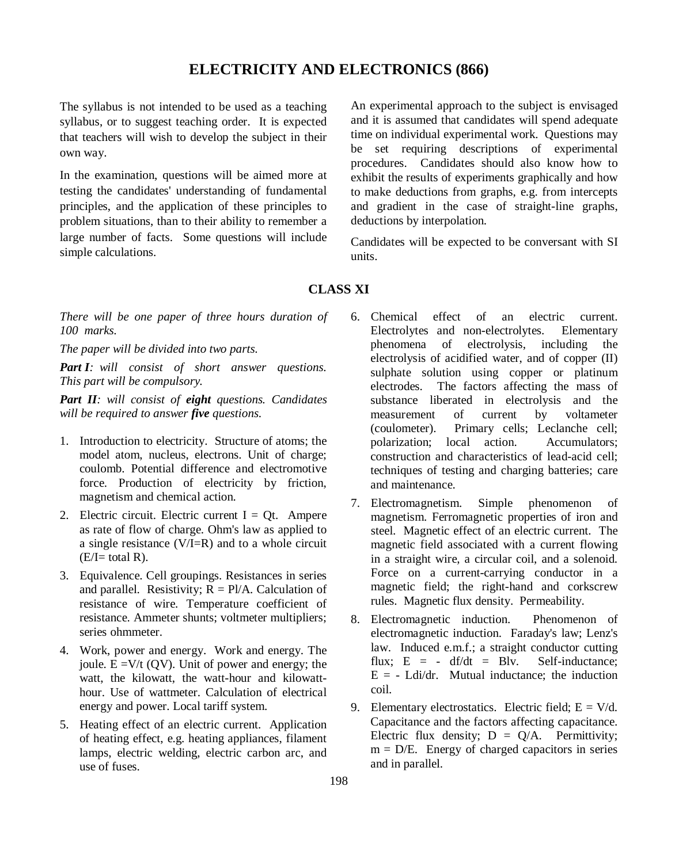## **ELECTRICITY AND ELECTRONICS (866)**

The syllabus is not intended to be used as a teaching syllabus, or to suggest teaching order. It is expected that teachers will wish to develop the subject in their own way.

In the examination, questions will be aimed more at testing the candidates' understanding of fundamental principles, and the application of these principles to problem situations, than to their ability to remember a large number of facts. Some questions will include simple calculations.

An experimental approach to the subject is envisaged and it is assumed that candidates will spend adequate time on individual experimental work. Questions may be set requiring descriptions of experimental procedures. Candidates should also know how to exhibit the results of experiments graphically and how to make deductions from graphs, e.g. from intercepts and gradient in the case of straight-line graphs, deductions by interpolation.

Candidates will be expected to be conversant with SI units.

## **CLASS XI**

*There will be one paper of three hours duration of 100 marks.*

*The paper will be divided into two parts.*

*Part I: will consist of short answer questions. This part will be compulsory.*

*Part II: will consist of eight questions. Candidates will be required to answer five questions.*

- 1. Introduction to electricity. Structure of atoms; the model atom, nucleus, electrons. Unit of charge; coulomb. Potential difference and electromotive force. Production of electricity by friction, magnetism and chemical action.
- 2. Electric circuit. Electric current  $I = Qt$ . Ampere as rate of flow of charge. Ohm's law as applied to a single resistance (V/I=R) and to a whole circuit  $(E/I=$  total R).
- 3. Equivalence. Cell groupings. Resistances in series and parallel. Resistivity;  $R = P/A$ . Calculation of resistance of wire. Temperature coefficient of resistance. Ammeter shunts; voltmeter multipliers; series ohmmeter.
- 4. Work, power and energy. Work and energy. The joule.  $E = V/t$  (OV). Unit of power and energy; the watt, the kilowatt, the watt-hour and kilowatthour. Use of wattmeter. Calculation of electrical energy and power. Local tariff system.
- 5. Heating effect of an electric current. Application of heating effect, e.g. heating appliances, filament lamps, electric welding, electric carbon arc, and use of fuses.
- 6. Chemical effect of an electric current. Electrolytes and non-electrolytes. Elementary phenomena of electrolysis, including the electrolysis of acidified water, and of copper (II) sulphate solution using copper or platinum electrodes. The factors affecting the mass of substance liberated in electrolysis and the measurement of current by voltameter (coulometer). Primary cells; Leclanche cell; polarization; local action. Accumulators; construction and characteristics of lead-acid cell; techniques of testing and charging batteries; care and maintenance.
- 7. Electromagnetism. Simple phenomenon of magnetism. Ferromagnetic properties of iron and steel. Magnetic effect of an electric current. The magnetic field associated with a current flowing in a straight wire, a circular coil, and a solenoid. Force on a current-carrying conductor in a magnetic field; the right-hand and corkscrew rules. Magnetic flux density. Permeability.
- 8. Electromagnetic induction. Phenomenon of electromagnetic induction. Faraday's law; Lenz's law. Induced e.m.f.; a straight conductor cutting flux;  $E = - df/dt = Blv$ . Self-inductance;  $E = -$  Ldi/dr. Mutual inductance; the induction coil.
- 9. Elementary electrostatics. Electric field;  $E = V/d$ . Capacitance and the factors affecting capacitance. Electric flux density;  $D = Q/A$ . Permittivity;  $m = D/E$ . Energy of charged capacitors in series and in parallel.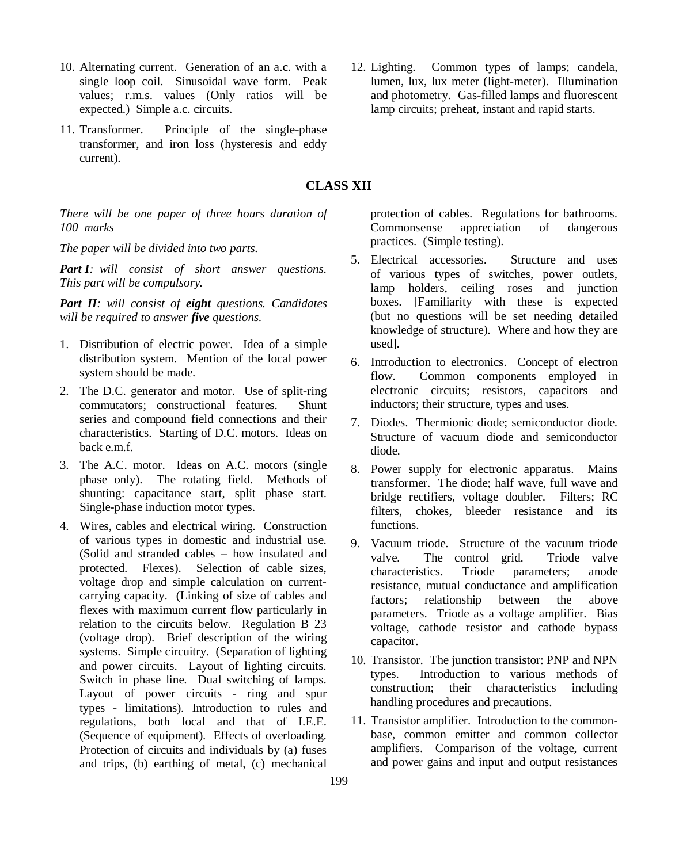- 10. Alternating current. Generation of an a.c. with a single loop coil. Sinusoidal wave form. Peak values; r.m.s. values (Only ratios will be expected.) Simple a.c. circuits.
- 11. Transformer. Principle of the single-phase transformer, and iron loss (hysteresis and eddy current).

## **CLASS XII**

*There will be one paper of three hours duration of 100 marks*

*The paper will be divided into two parts.*

*Part I: will consist of short answer questions. This part will be compulsory.*

*Part II: will consist of eight questions. Candidates will be required to answer five questions.*

- 1. Distribution of electric power. Idea of a simple distribution system. Mention of the local power system should be made.
- 2. The D.C. generator and motor. Use of split-ring commutators; constructional features. Shunt series and compound field connections and their characteristics. Starting of D.C. motors. Ideas on back e.m.f.
- 3. The A.C. motor. Ideas on A.C. motors (single phase only). The rotating field. Methods of shunting: capacitance start, split phase start. Single-phase induction motor types.
- 4. Wires, cables and electrical wiring. Construction of various types in domestic and industrial use. (Solid and stranded cables – how insulated and protected. Flexes). Selection of cable sizes, voltage drop and simple calculation on currentcarrying capacity. (Linking of size of cables and flexes with maximum current flow particularly in relation to the circuits below. Regulation B 23 (voltage drop). Brief description of the wiring systems. Simple circuitry. (Separation of lighting and power circuits. Layout of lighting circuits. Switch in phase line. Dual switching of lamps. Layout of power circuits - ring and spur types - limitations). Introduction to rules and regulations, both local and that of I.E.E. (Sequence of equipment). Effects of overloading. Protection of circuits and individuals by (a) fuses and trips, (b) earthing of metal, (c) mechanical

protection of cables. Regulations for bathrooms. Commonsense appreciation of dangerous practices. (Simple testing).

- 5. Electrical accessories. Structure and uses of various types of switches, power outlets, lamp holders, ceiling roses and junction boxes. [Familiarity with these is expected (but no questions will be set needing detailed knowledge of structure). Where and how they are used].
- 6. Introduction to electronics. Concept of electron flow. Common components employed in electronic circuits; resistors, capacitors and inductors; their structure, types and uses.
- 7. Diodes. Thermionic diode; semiconductor diode. Structure of vacuum diode and semiconductor diode.
- 8. Power supply for electronic apparatus. Mains transformer. The diode; half wave, full wave and bridge rectifiers, voltage doubler. Filters; RC filters, chokes, bleeder resistance and its functions.
- 9. Vacuum triode. Structure of the vacuum triode valve. The control grid. Triode valve characteristics. Triode parameters; anode resistance, mutual conductance and amplification factors; relationship between the above parameters. Triode as a voltage amplifier. Bias voltage, cathode resistor and cathode bypass capacitor.
- 10. Transistor. The junction transistor: PNP and NPN types. Introduction to various methods of construction; their characteristics including handling procedures and precautions.
- 11. Transistor amplifier. Introduction to the commonbase, common emitter and common collector amplifiers. Comparison of the voltage, current and power gains and input and output resistances

12. Lighting. Common types of lamps; candela, lumen, lux, lux meter (light-meter). Illumination and photometry. Gas-filled lamps and fluorescent lamp circuits; preheat, instant and rapid starts.